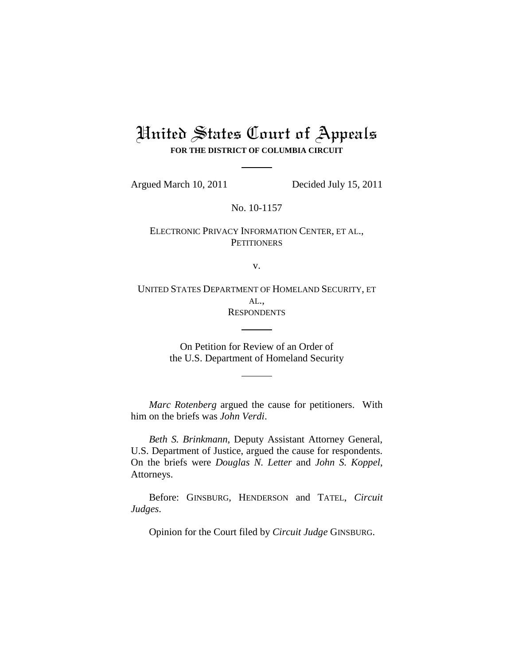# United States Court of Appeals **FOR THE DISTRICT OF COLUMBIA CIRCUIT**

Argued March 10, 2011 Decided July 15, 2011

No. 10-1157

ELECTRONIC PRIVACY INFORMATION CENTER, ET AL., **PETITIONERS** 

v.

UNITED STATES DEPARTMENT OF HOMELAND SECURITY, ET AL., **RESPONDENTS** 

> On Petition for Review of an Order of the U.S. Department of Homeland Security

*Marc Rotenberg* argued the cause for petitioners. With him on the briefs was *John Verdi*.

*Beth S. Brinkmann*, Deputy Assistant Attorney General, U.S. Department of Justice, argued the cause for respondents. On the briefs were *Douglas N. Letter* and *John S. Koppel*, Attorneys.

Before: GINSBURG, HENDERSON and TATEL, *Circuit Judges*.

Opinion for the Court filed by *Circuit Judge* GINSBURG.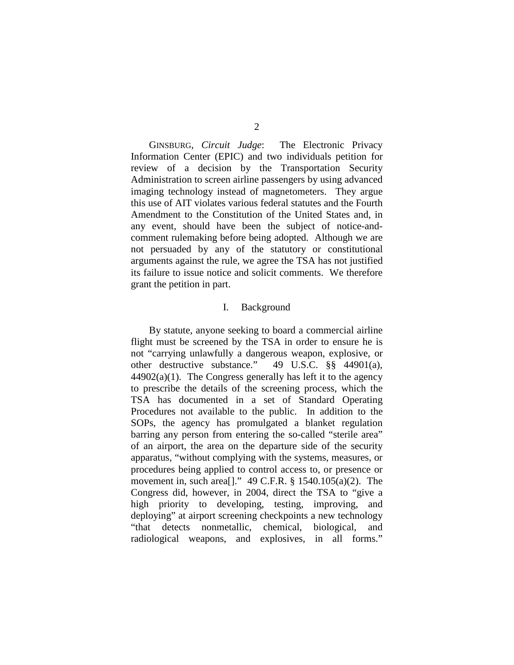GINSBURG, *Circuit Judge*: The Electronic Privacy Information Center (EPIC) and two individuals petition for review of a decision by the Transportation Security Administration to screen airline passengers by using advanced imaging technology instead of magnetometers. They argue this use of AIT violates various federal statutes and the Fourth Amendment to the Constitution of the United States and, in any event, should have been the subject of notice-andcomment rulemaking before being adopted. Although we are not persuaded by any of the statutory or constitutional arguments against the rule, we agree the TSA has not justified its failure to issue notice and solicit comments. We therefore grant the petition in part.

#### I. Background

By statute, anyone seeking to board a commercial airline flight must be screened by the TSA in order to ensure he is not "carrying unlawfully a dangerous weapon, explosive, or other destructive substance." 49 U.S.C. §§ 44901(a),  $44902(a)(1)$ . The Congress generally has left it to the agency to prescribe the details of the screening process, which the TSA has documented in a set of Standard Operating Procedures not available to the public. In addition to the SOPs, the agency has promulgated a blanket regulation barring any person from entering the so-called "sterile area" of an airport, the area on the departure side of the security apparatus, "without complying with the systems, measures, or procedures being applied to control access to, or presence or movement in, such area[]." 49 C.F.R. § 1540.105(a)(2). The Congress did, however, in 2004, direct the TSA to "give a high priority to developing, testing, improving, and deploying" at airport screening checkpoints a new technology "that detects nonmetallic, chemical, biological, and radiological weapons, and explosives, in all forms."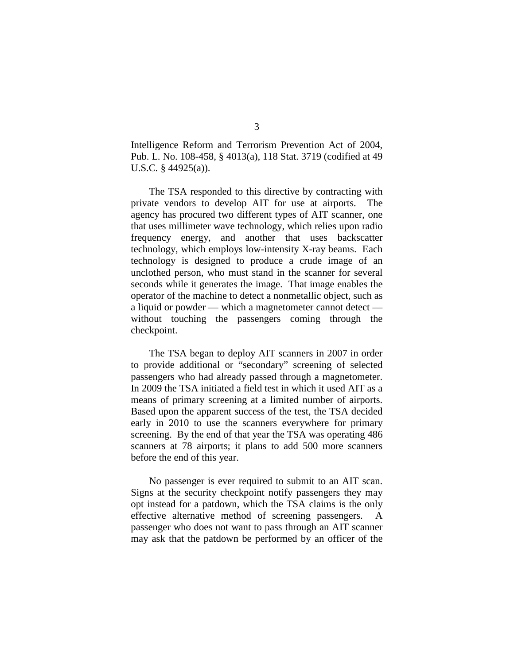Intelligence Reform and Terrorism Prevention Act of 2004, Pub. L. No. 108-458, § 4013(a), 118 Stat. 3719 (codified at 49 U.S.C*.* § 44925(a)).

The TSA responded to this directive by contracting with private vendors to develop AIT for use at airports. The agency has procured two different types of AIT scanner, one that uses millimeter wave technology, which relies upon radio frequency energy, and another that uses backscatter technology, which employs low-intensity X-ray beams. Each technology is designed to produce a crude image of an unclothed person, who must stand in the scanner for several seconds while it generates the image. That image enables the operator of the machine to detect a nonmetallic object, such as a liquid or powder — which a magnetometer cannot detect without touching the passengers coming through the checkpoint.

The TSA began to deploy AIT scanners in 2007 in order to provide additional or "secondary" screening of selected passengers who had already passed through a magnetometer. In 2009 the TSA initiated a field test in which it used AIT as a means of primary screening at a limited number of airports. Based upon the apparent success of the test, the TSA decided early in 2010 to use the scanners everywhere for primary screening. By the end of that year the TSA was operating 486 scanners at 78 airports; it plans to add 500 more scanners before the end of this year.

No passenger is ever required to submit to an AIT scan. Signs at the security checkpoint notify passengers they may opt instead for a patdown, which the TSA claims is the only effective alternative method of screening passengers. A passenger who does not want to pass through an AIT scanner may ask that the patdown be performed by an officer of the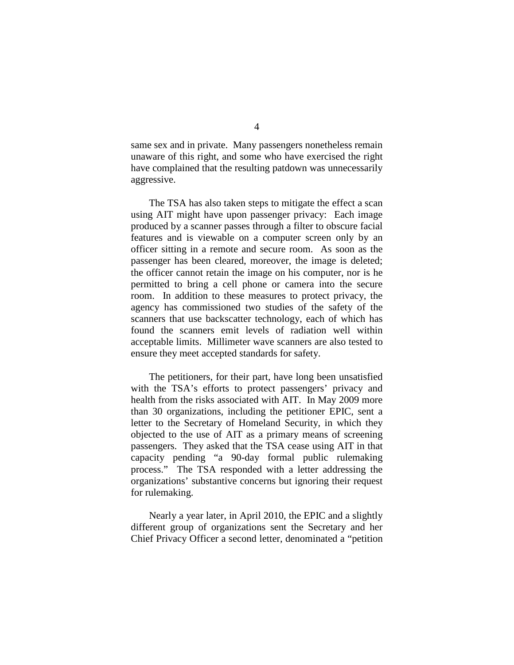same sex and in private. Many passengers nonetheless remain unaware of this right, and some who have exercised the right have complained that the resulting patdown was unnecessarily aggressive.

The TSA has also taken steps to mitigate the effect a scan using AIT might have upon passenger privacy: Each image produced by a scanner passes through a filter to obscure facial features and is viewable on a computer screen only by an officer sitting in a remote and secure room. As soon as the passenger has been cleared, moreover, the image is deleted; the officer cannot retain the image on his computer, nor is he permitted to bring a cell phone or camera into the secure room. In addition to these measures to protect privacy, the agency has commissioned two studies of the safety of the scanners that use backscatter technology, each of which has found the scanners emit levels of radiation well within acceptable limits. Millimeter wave scanners are also tested to ensure they meet accepted standards for safety.

The petitioners, for their part, have long been unsatisfied with the TSA's efforts to protect passengers' privacy and health from the risks associated with AIT. In May 2009 more than 30 organizations, including the petitioner EPIC, sent a letter to the Secretary of Homeland Security, in which they objected to the use of AIT as a primary means of screening passengers. They asked that the TSA cease using AIT in that capacity pending "a 90-day formal public rulemaking process." The TSA responded with a letter addressing the organizations' substantive concerns but ignoring their request for rulemaking.

Nearly a year later, in April 2010, the EPIC and a slightly different group of organizations sent the Secretary and her Chief Privacy Officer a second letter, denominated a "petition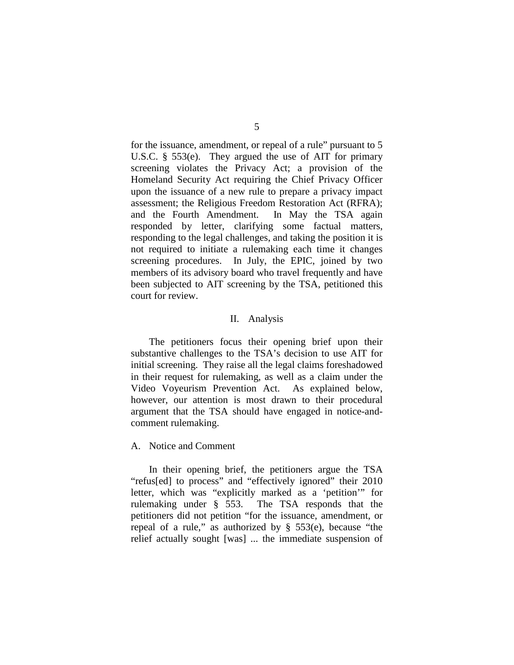for the issuance, amendment, or repeal of a rule" pursuant to 5 U.S.C. § 553(e). They argued the use of AIT for primary screening violates the Privacy Act; a provision of the Homeland Security Act requiring the Chief Privacy Officer upon the issuance of a new rule to prepare a privacy impact assessment; the Religious Freedom Restoration Act (RFRA); and the Fourth Amendment. In May the TSA again responded by letter, clarifying some factual matters, responding to the legal challenges, and taking the position it is not required to initiate a rulemaking each time it changes screening procedures. In July, the EPIC, joined by two members of its advisory board who travel frequently and have been subjected to AIT screening by the TSA, petitioned this court for review.

#### II. Analysis

The petitioners focus their opening brief upon their substantive challenges to the TSA's decision to use AIT for initial screening. They raise all the legal claims foreshadowed in their request for rulemaking, as well as a claim under the Video Voyeurism Prevention Act. As explained below, however, our attention is most drawn to their procedural argument that the TSA should have engaged in notice-andcomment rulemaking.

#### A. Notice and Comment

In their opening brief, the petitioners argue the TSA "refus[ed] to process" and "effectively ignored" their 2010 letter, which was "explicitly marked as a 'petition'" for rulemaking under § 553. The TSA responds that the petitioners did not petition "for the issuance, amendment, or repeal of a rule," as authorized by § 553(e), because "the relief actually sought [was] ... the immediate suspension of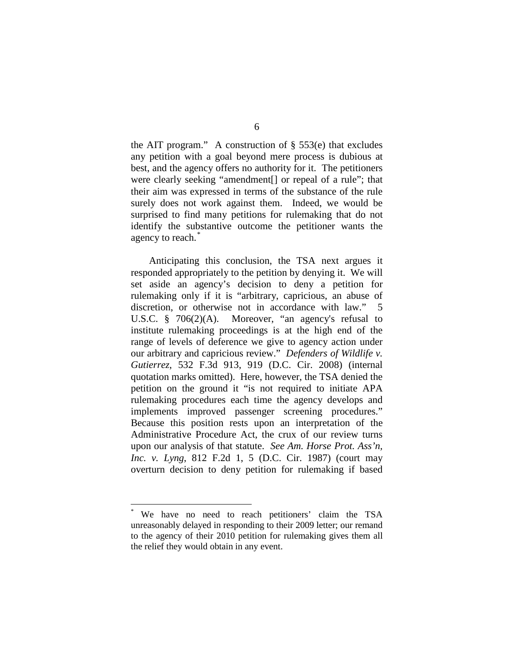the AIT program." A construction of  $\S$  553(e) that excludes any petition with a goal beyond mere process is dubious at best, and the agency offers no authority for it. The petitioners were clearly seeking "amendment[] or repeal of a rule"; that their aim was expressed in terms of the substance of the rule surely does not work against them. Indeed, we would be surprised to find many petitions for rulemaking that do not identify the substantive outcome the petitioner wants the agency to reach. [\\*](#page-5-0)

Anticipating this conclusion, the TSA next argues it responded appropriately to the petition by denying it. We will set aside an agency's decision to deny a petition for rulemaking only if it is "arbitrary, capricious, an abuse of discretion, or otherwise not in accordance with law." 5 U.S.C. § 706(2)(A). Moreover, "an agency's refusal to institute rulemaking proceedings is at the high end of the range of levels of deference we give to agency action under our arbitrary and capricious review." *Defenders of Wildlife v. Gutierrez*, 532 F.3d 913, 919 (D.C. Cir. 2008) (internal quotation marks omitted). Here, however, the TSA denied the petition on the ground it "is not required to initiate APA rulemaking procedures each time the agency develops and implements improved passenger screening procedures." Because this position rests upon an interpretation of the Administrative Procedure Act, the crux of our review turns upon our analysis of that statute. *See Am. Horse Prot. Ass'n, Inc. v. Lyng*, 812 F.2d 1, 5 (D.C. Cir. 1987) (court may overturn decision to deny petition for rulemaking if based

<span id="page-5-0"></span>We have no need to reach petitioners' claim the TSA unreasonably delayed in responding to their 2009 letter; our remand to the agency of their 2010 petition for rulemaking gives them all the relief they would obtain in any event.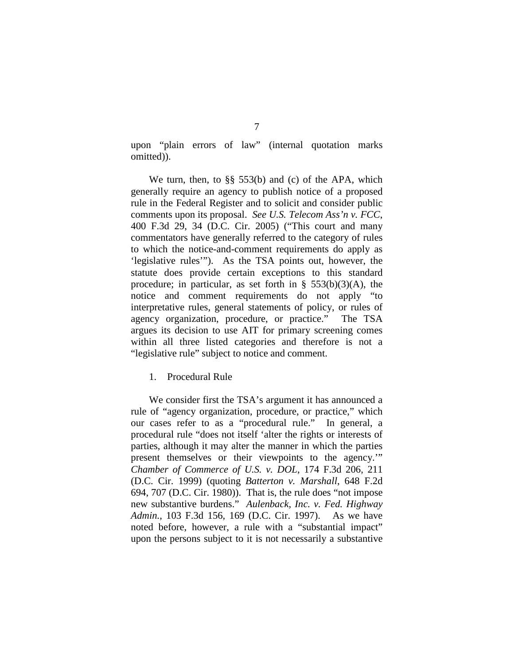upon "plain errors of law" (internal quotation marks omitted)).

We turn, then, to §§ 553(b) and (c) of the APA, which generally require an agency to publish notice of a proposed rule in the Federal Register and to solicit and consider public comments upon its proposal. *See U.S. Telecom Ass'n v. FCC*, 400 F.3d 29, 34 (D.C. Cir. 2005) ("This court and many commentators have generally referred to the category of rules to which the notice-and-comment requirements do apply as 'legislative rules'"). As the TSA points out, however, the statute does provide certain exceptions to this standard procedure; in particular, as set forth in  $\S$  553(b)(3)(A), the notice and comment requirements do not apply "to interpretative rules, general statements of policy, or rules of agency organization, procedure, or practice." The TSA argues its decision to use AIT for primary screening comes within all three listed categories and therefore is not a "legislative rule" subject to notice and comment.

1. Procedural Rule

We consider first the TSA's argument it has announced a rule of "agency organization, procedure, or practice," which our cases refer to as a "procedural rule." In general, a procedural rule "does not itself 'alter the rights or interests of parties, although it may alter the manner in which the parties present themselves or their viewpoints to the agency.'" *Chamber of Commerce of U.S. v. DOL*, 174 F.3d 206, 211 (D.C. Cir. 1999) (quoting *Batterton v. Marshall*, 648 F.2d 694, 707 (D.C. Cir. 1980)). That is, the rule does "not impose new substantive burdens." *Aulenback, Inc. v. Fed. Highway Admin.*, 103 F.3d 156, 169 (D.C. Cir. 1997). As we have noted before, however, a rule with a "substantial impact" upon the persons subject to it is not necessarily a substantive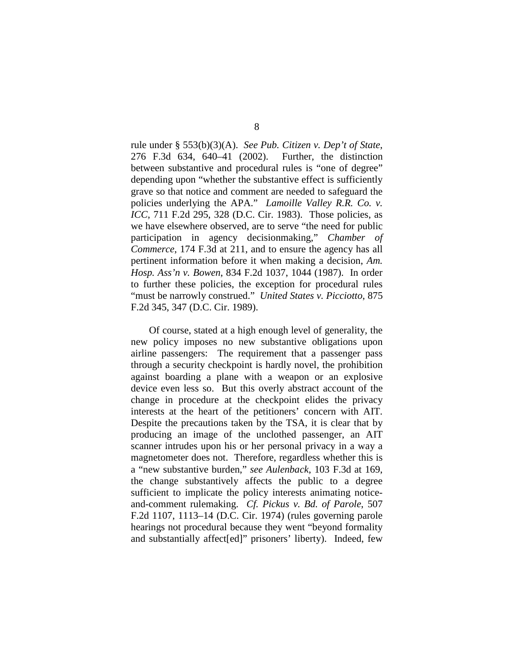rule under § 553(b)(3)(A). *See Pub. Citizen v. Dep't of State*, 276 F.3d 634, 640–41 (2002). Further, the distinction between substantive and procedural rules is "one of degree" depending upon "whether the substantive effect is sufficiently grave so that notice and comment are needed to safeguard the policies underlying the APA." *Lamoille Valley R.R. Co. v. ICC*, 711 F.2d 295, 328 (D.C. Cir. 1983). Those policies, as we have elsewhere observed, are to serve "the need for public participation in agency decisionmaking," *Chamber of Commerce*, 174 F.3d at 211, and to ensure the agency has all pertinent information before it when making a decision, *Am. Hosp. Ass'n v. Bowen*, 834 F.2d 1037, 1044 (1987). In order to further these policies, the exception for procedural rules "must be narrowly construed." *United States v. Picciotto*, 875 F.2d 345, 347 (D.C. Cir. 1989).

Of course, stated at a high enough level of generality, the new policy imposes no new substantive obligations upon airline passengers: The requirement that a passenger pass through a security checkpoint is hardly novel, the prohibition against boarding a plane with a weapon or an explosive device even less so. But this overly abstract account of the change in procedure at the checkpoint elides the privacy interests at the heart of the petitioners' concern with AIT. Despite the precautions taken by the TSA, it is clear that by producing an image of the unclothed passenger, an AIT scanner intrudes upon his or her personal privacy in a way a magnetometer does not. Therefore, regardless whether this is a "new substantive burden," *see Aulenback*, 103 F.3d at 169, the change substantively affects the public to a degree sufficient to implicate the policy interests animating noticeand-comment rulemaking. *Cf. Pickus v. Bd. of Parole*, 507 F.2d 1107, 1113–14 (D.C. Cir. 1974) (rules governing parole hearings not procedural because they went "beyond formality and substantially affect[ed]" prisoners' liberty). Indeed, few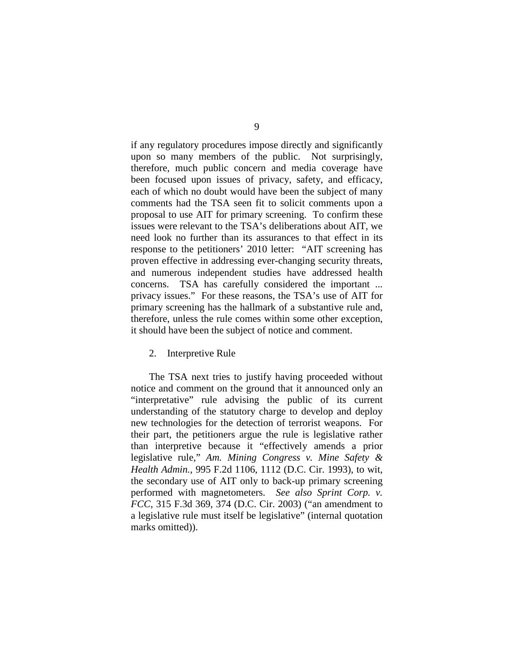if any regulatory procedures impose directly and significantly upon so many members of the public. Not surprisingly, therefore, much public concern and media coverage have been focused upon issues of privacy, safety, and efficacy, each of which no doubt would have been the subject of many comments had the TSA seen fit to solicit comments upon a proposal to use AIT for primary screening. To confirm these issues were relevant to the TSA's deliberations about AIT, we need look no further than its assurances to that effect in its response to the petitioners' 2010 letter: "AIT screening has proven effective in addressing ever-changing security threats, and numerous independent studies have addressed health concerns. TSA has carefully considered the important ... privacy issues." For these reasons, the TSA's use of AIT for primary screening has the hallmark of a substantive rule and, therefore, unless the rule comes within some other exception, it should have been the subject of notice and comment.

#### 2. Interpretive Rule

The TSA next tries to justify having proceeded without notice and comment on the ground that it announced only an "interpretative" rule advising the public of its current understanding of the statutory charge to develop and deploy new technologies for the detection of terrorist weapons. For their part, the petitioners argue the rule is legislative rather than interpretive because it "effectively amends a prior legislative rule," *Am. Mining Congress v. Mine Safety & Health Admin.*, 995 F.2d 1106, 1112 (D.C. Cir. 1993), to wit, the secondary use of AIT only to back-up primary screening performed with magnetometers. *See also Sprint Corp. v. FCC*, 315 F.3d 369, 374 (D.C. Cir. 2003) ("an amendment to a legislative rule must itself be legislative" (internal quotation marks omitted)).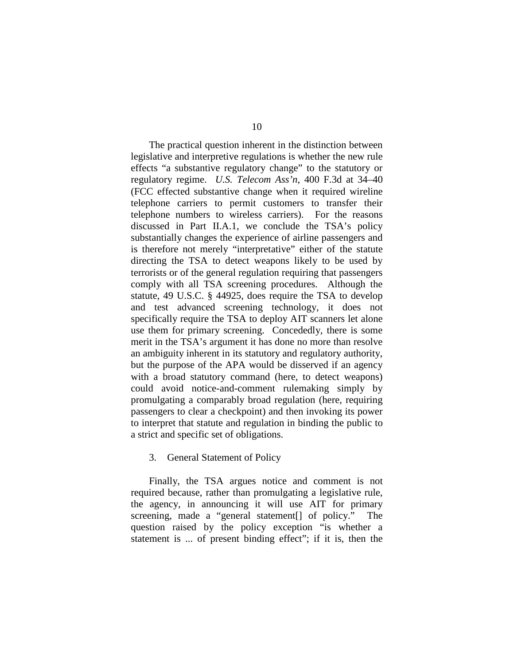The practical question inherent in the distinction between legislative and interpretive regulations is whether the new rule effects "a substantive regulatory change" to the statutory or regulatory regime. *U.S. Telecom Ass'n*, 400 F.3d at 34–40 (FCC effected substantive change when it required wireline telephone carriers to permit customers to transfer their telephone numbers to wireless carriers). For the reasons discussed in Part II.A.1, we conclude the TSA's policy substantially changes the experience of airline passengers and is therefore not merely "interpretative" either of the statute directing the TSA to detect weapons likely to be used by terrorists or of the general regulation requiring that passengers comply with all TSA screening procedures. Although the statute, 49 U.S.C. § 44925, does require the TSA to develop and test advanced screening technology, it does not specifically require the TSA to deploy AIT scanners let alone use them for primary screening. Concededly, there is some merit in the TSA's argument it has done no more than resolve an ambiguity inherent in its statutory and regulatory authority, but the purpose of the APA would be disserved if an agency with a broad statutory command (here, to detect weapons) could avoid notice-and-comment rulemaking simply by promulgating a comparably broad regulation (here, requiring passengers to clear a checkpoint) and then invoking its power to interpret that statute and regulation in binding the public to a strict and specific set of obligations.

#### 3. General Statement of Policy

Finally, the TSA argues notice and comment is not required because, rather than promulgating a legislative rule, the agency, in announcing it will use AIT for primary screening, made a "general statement[] of policy." The question raised by the policy exception "is whether a statement is ... of present binding effect"; if it is, then the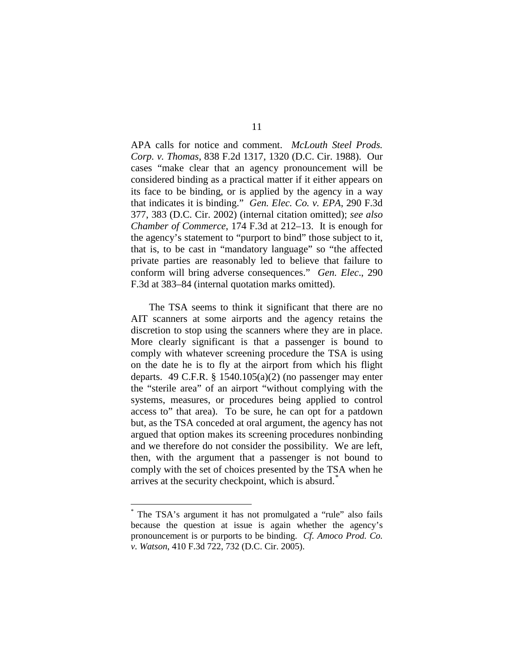APA calls for notice and comment. *McLouth Steel Prods. Corp. v. Thomas*, 838 F.2d 1317, 1320 (D.C. Cir. 1988). Our cases "make clear that an agency pronouncement will be considered binding as a practical matter if it either appears on its face to be binding, or is applied by the agency in a way that indicates it is binding." *Gen. Elec. Co. v. EPA*, 290 F.3d 377, 383 (D.C. Cir. 2002) (internal citation omitted); *see also Chamber of Commerce*, 174 F.3d at 212–13. It is enough for the agency's statement to "purport to bind" those subject to it, that is, to be cast in "mandatory language" so "the affected private parties are reasonably led to believe that failure to conform will bring adverse consequences." *Gen. Elec*., 290 F.3d at 383–84 (internal quotation marks omitted).

The TSA seems to think it significant that there are no AIT scanners at some airports and the agency retains the discretion to stop using the scanners where they are in place. More clearly significant is that a passenger is bound to comply with whatever screening procedure the TSA is using on the date he is to fly at the airport from which his flight departs. 49 C.F.R.  $\S$  1540.105(a)(2) (no passenger may enter the "sterile area" of an airport "without complying with the systems, measures, or procedures being applied to control access to" that area). To be sure, he can opt for a patdown but, as the TSA conceded at oral argument, the agency has not argued that option makes its screening procedures nonbinding and we therefore do not consider the possibility. We are left, then, with the argument that a passenger is not bound to comply with the set of choices presented by the TSA when he arrives at the security checkpoint, which is absurd.<sup>[\\*](#page-10-0)</sup>

<span id="page-10-0"></span>The TSA's argument it has not promulgated a "rule" also fails because the question at issue is again whether the agency's pronouncement is or purports to be binding. *Cf. Amoco Prod. Co. v. Watson*, 410 F.3d 722, 732 (D.C. Cir. 2005).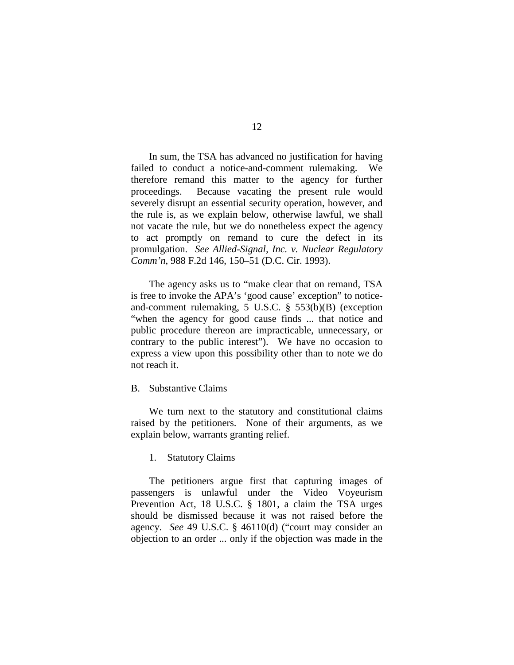In sum, the TSA has advanced no justification for having failed to conduct a notice-and-comment rulemaking. We therefore remand this matter to the agency for further proceedings. Because vacating the present rule would severely disrupt an essential security operation, however, and the rule is, as we explain below, otherwise lawful, we shall not vacate the rule, but we do nonetheless expect the agency to act promptly on remand to cure the defect in its promulgation. *See Allied-Signal, Inc. v. Nuclear Regulatory Comm'n*, 988 F.2d 146, 150–51 (D.C. Cir. 1993).

The agency asks us to "make clear that on remand, TSA is free to invoke the APA's 'good cause' exception" to noticeand-comment rulemaking, 5 U.S.C. § 553(b)(B) (exception "when the agency for good cause finds ... that notice and public procedure thereon are impracticable, unnecessary, or contrary to the public interest"). We have no occasion to express a view upon this possibility other than to note we do not reach it.

## B. Substantive Claims

We turn next to the statutory and constitutional claims raised by the petitioners. None of their arguments, as we explain below, warrants granting relief.

## 1. Statutory Claims

The petitioners argue first that capturing images of passengers is unlawful under the Video Voyeurism Prevention Act, 18 U.S.C. § 1801, a claim the TSA urges should be dismissed because it was not raised before the agency. *See* 49 U.S.C. § 46110(d) ("court may consider an objection to an order ... only if the objection was made in the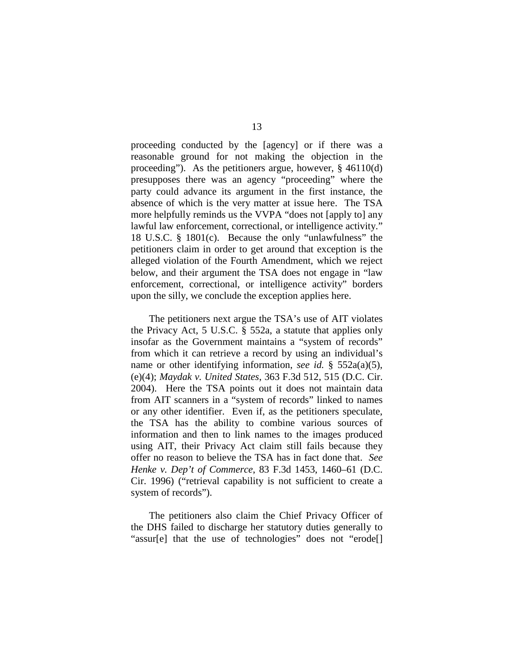proceeding conducted by the [agency] or if there was a reasonable ground for not making the objection in the proceeding"). As the petitioners argue, however, § 46110(d) presupposes there was an agency "proceeding" where the party could advance its argument in the first instance, the absence of which is the very matter at issue here. The TSA more helpfully reminds us the VVPA "does not [apply to] any lawful law enforcement, correctional, or intelligence activity." 18 U.S.C. § 1801(c). Because the only "unlawfulness" the petitioners claim in order to get around that exception is the alleged violation of the Fourth Amendment, which we reject below, and their argument the TSA does not engage in "law enforcement, correctional, or intelligence activity" borders upon the silly, we conclude the exception applies here.

The petitioners next argue the TSA's use of AIT violates the Privacy Act, 5 U.S.C. § 552a, a statute that applies only insofar as the Government maintains a "system of records" from which it can retrieve a record by using an individual's name or other identifying information, *see id.* § 552a(a)(5), (e)(4); *Maydak v. United States*, 363 F.3d 512, 515 (D.C. Cir. 2004). Here the TSA points out it does not maintain data from AIT scanners in a "system of records" linked to names or any other identifier. Even if, as the petitioners speculate, the TSA has the ability to combine various sources of information and then to link names to the images produced using AIT, their Privacy Act claim still fails because they offer no reason to believe the TSA has in fact done that. *See Henke v. Dep't of Commerce*, 83 F.3d 1453, 1460–61 (D.C. Cir. 1996) ("retrieval capability is not sufficient to create a system of records").

The petitioners also claim the Chief Privacy Officer of the DHS failed to discharge her statutory duties generally to "assur[e] that the use of technologies" does not "erode[]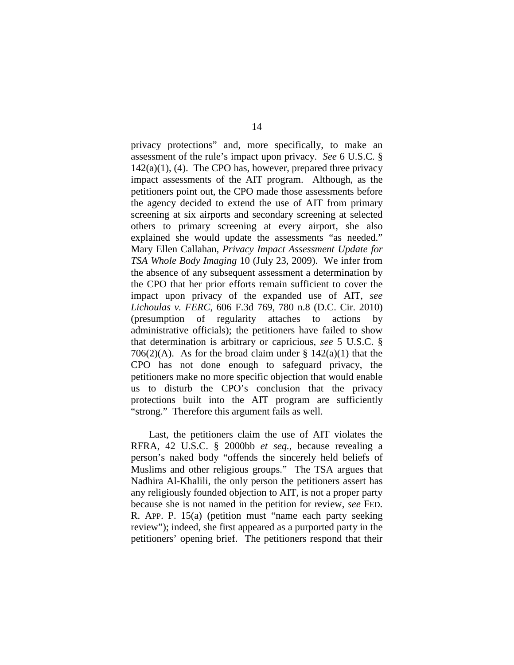privacy protections" and, more specifically, to make an assessment of the rule's impact upon privacy. *See* 6 U.S.C. §  $142(a)(1)$ , (4). The CPO has, however, prepared three privacy impact assessments of the AIT program. Although, as the petitioners point out, the CPO made those assessments before the agency decided to extend the use of AIT from primary screening at six airports and secondary screening at selected others to primary screening at every airport, she also explained she would update the assessments "as needed." Mary Ellen Callahan, *Privacy Impact Assessment Update for TSA Whole Body Imaging* 10 (July 23, 2009). We infer from the absence of any subsequent assessment a determination by the CPO that her prior efforts remain sufficient to cover the impact upon privacy of the expanded use of AIT, *see Lichoulas v. FERC*, 606 F.3d 769, 780 n.8 (D.C. Cir. 2010) (presumption of regularity attaches to actions by administrative officials); the petitioners have failed to show that determination is arbitrary or capricious, *see* 5 U.S.C. § 706(2)(A). As for the broad claim under  $\S 142(a)(1)$  that the CPO has not done enough to safeguard privacy, the petitioners make no more specific objection that would enable us to disturb the CPO's conclusion that the privacy protections built into the AIT program are sufficiently "strong." Therefore this argument fails as well.

Last, the petitioners claim the use of AIT violates the RFRA, 42 U.S.C. § 2000bb *et seq.*, because revealing a person's naked body "offends the sincerely held beliefs of Muslims and other religious groups." The TSA argues that Nadhira Al-Khalili, the only person the petitioners assert has any religiously founded objection to AIT, is not a proper party because she is not named in the petition for review, *see* FED. R. APP. P. 15(a) (petition must "name each party seeking review"); indeed, she first appeared as a purported party in the petitioners' opening brief. The petitioners respond that their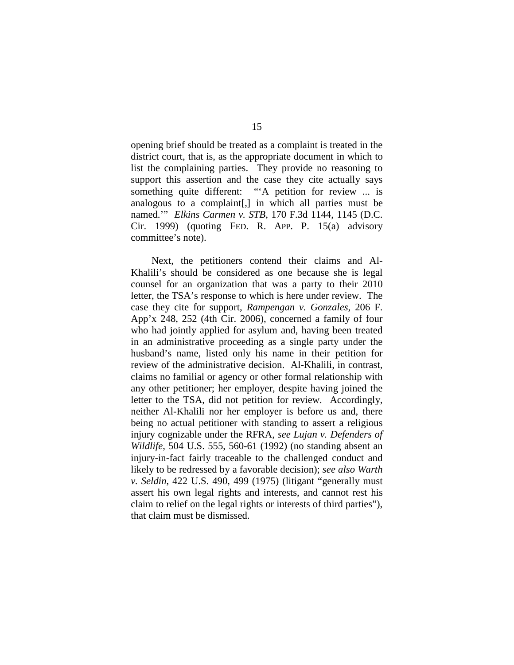opening brief should be treated as a complaint is treated in the district court, that is, as the appropriate document in which to list the complaining parties. They provide no reasoning to support this assertion and the case they cite actually says something quite different: "A petition for review ... is analogous to a complaint[,] in which all parties must be named.'" *Elkins Carmen v. STB*, 170 F.3d 1144, 1145 (D.C. Cir. 1999) (quoting FED. R. APP. P. 15(a) advisory committee's note).

Next, the petitioners contend their claims and Al-Khalili's should be considered as one because she is legal counsel for an organization that was a party to their 2010 letter, the TSA's response to which is here under review. The case they cite for support, *Rampengan v. Gonzales*, 206 F. App'x 248, 252 (4th Cir. 2006), concerned a family of four who had jointly applied for asylum and, having been treated in an administrative proceeding as a single party under the husband's name, listed only his name in their petition for review of the administrative decision. Al-Khalili, in contrast, claims no familial or agency or other formal relationship with any other petitioner; her employer, despite having joined the letter to the TSA, did not petition for review. Accordingly, neither Al-Khalili nor her employer is before us and, there being no actual petitioner with standing to assert a religious injury cognizable under the RFRA, *see Lujan v. Defenders of Wildlife*, 504 U.S. 555, 560-61 (1992) (no standing absent an injury-in-fact fairly traceable to the challenged conduct and likely to be redressed by a favorable decision); *see also Warth v. Seldin*, 422 U.S. 490, 499 (1975) (litigant "generally must assert his own legal rights and interests, and cannot rest his claim to relief on the legal rights or interests of third parties"), that claim must be dismissed.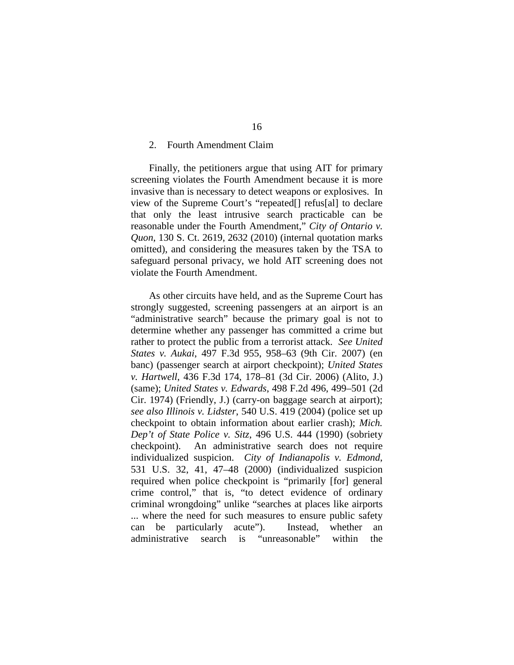#### 2. Fourth Amendment Claim

Finally, the petitioners argue that using AIT for primary screening violates the Fourth Amendment because it is more invasive than is necessary to detect weapons or explosives. In view of the Supreme Court's "repeated[] refus[al] to declare that only the least intrusive search practicable can be reasonable under the Fourth Amendment," *City of Ontario v. Quon*, 130 S. Ct. 2619, 2632 (2010) (internal quotation marks omitted), and considering the measures taken by the TSA to safeguard personal privacy, we hold AIT screening does not violate the Fourth Amendment.

As other circuits have held, and as the Supreme Court has strongly suggested, screening passengers at an airport is an "administrative search" because the primary goal is not to determine whether any passenger has committed a crime but rather to protect the public from a terrorist attack. *See United States v. Aukai*, 497 F.3d 955, 958–63 (9th Cir. 2007) (en banc) (passenger search at airport checkpoint); *United States v. Hartwell*, 436 F.3d 174, 178–81 (3d Cir. 2006) (Alito, J.) (same); *United States v. Edwards*, 498 F.2d 496, 499–501 (2d Cir. 1974) (Friendly, J.) (carry-on baggage search at airport); *see also Illinois v. Lidster*, 540 U.S. 419 (2004) (police set up checkpoint to obtain information about earlier crash); *Mich. Dep't of State Police v. Sitz*, 496 U.S. 444 (1990) (sobriety checkpoint). An administrative search does not require individualized suspicion. *City of Indianapolis v. Edmond*, 531 U.S. 32, 41, 47–48 (2000) (individualized suspicion required when police checkpoint is "primarily [for] general crime control," that is, "to detect evidence of ordinary criminal wrongdoing" unlike "searches at places like airports ... where the need for such measures to ensure public safety can be particularly acute"). Instead, whether an administrative search is "unreasonable" within the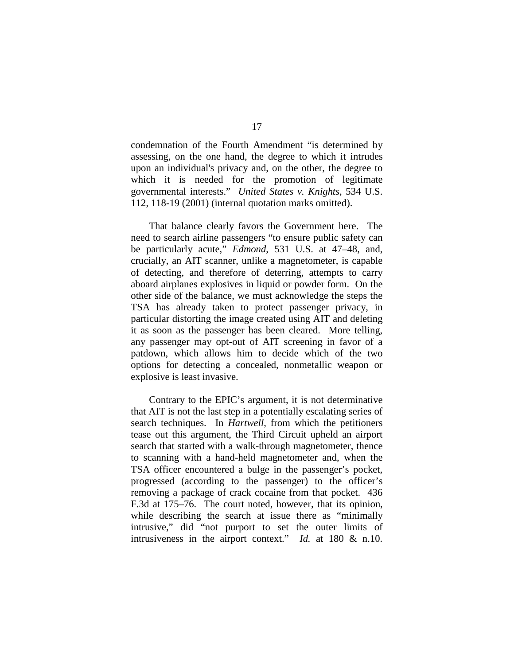condemnation of the Fourth Amendment "is determined by assessing, on the one hand, the degree to which it intrudes upon an individual's privacy and, on the other, the degree to which it is needed for the promotion of legitimate governmental interests." *United States v. Knights*, 534 U.S. 112, 118-19 (2001) (internal quotation marks omitted).

That balance clearly favors the Government here. The need to search airline passengers "to ensure public safety can be particularly acute," *Edmond*, 531 U.S. at 47–48, and, crucially, an AIT scanner, unlike a magnetometer, is capable of detecting, and therefore of deterring, attempts to carry aboard airplanes explosives in liquid or powder form. On the other side of the balance, we must acknowledge the steps the TSA has already taken to protect passenger privacy, in particular distorting the image created using AIT and deleting it as soon as the passenger has been cleared. More telling, any passenger may opt-out of AIT screening in favor of a patdown, which allows him to decide which of the two options for detecting a concealed, nonmetallic weapon or explosive is least invasive.

Contrary to the EPIC's argument, it is not determinative that AIT is not the last step in a potentially escalating series of search techniques. In *Hartwell*, from which the petitioners tease out this argument, the Third Circuit upheld an airport search that started with a walk-through magnetometer, thence to scanning with a hand-held magnetometer and, when the TSA officer encountered a bulge in the passenger's pocket, progressed (according to the passenger) to the officer's removing a package of crack cocaine from that pocket. 436 F.3d at 175–76. The court noted, however, that its opinion, while describing the search at issue there as "minimally intrusive," did "not purport to set the outer limits of intrusiveness in the airport context." *Id.* at 180 & n.10.